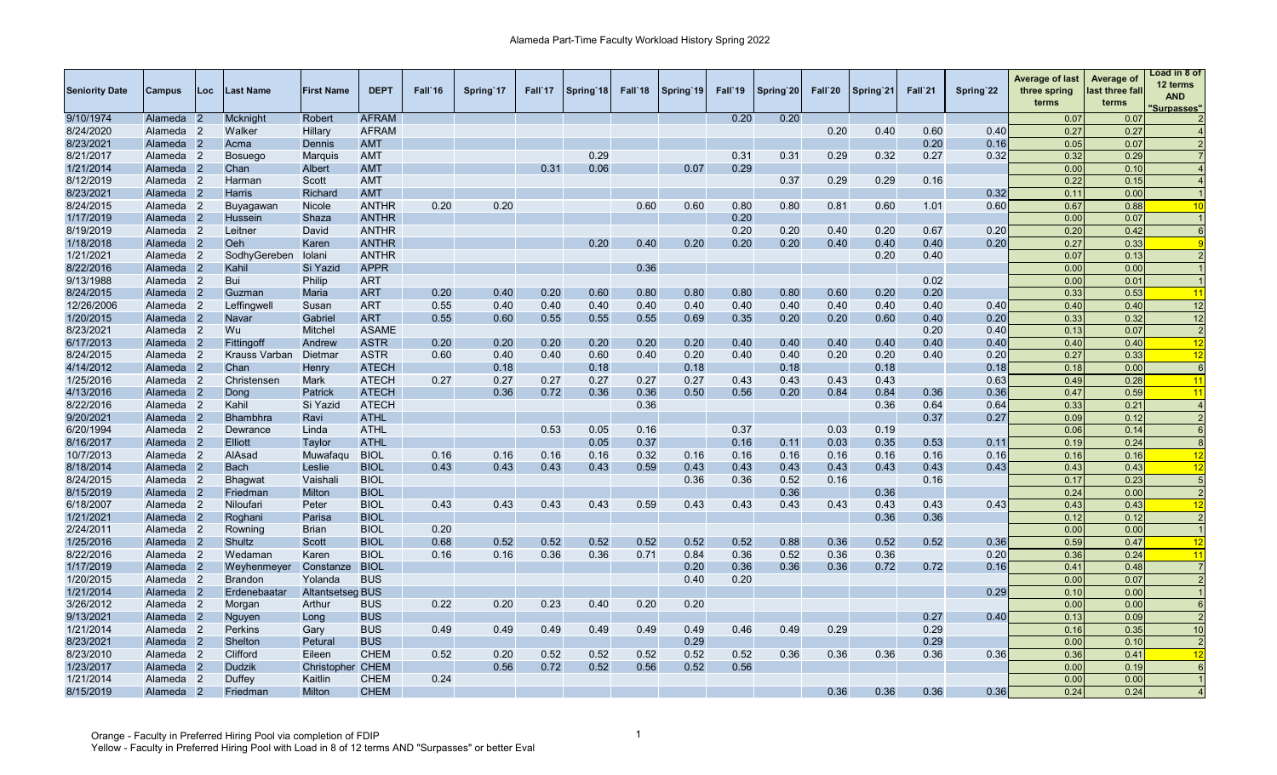| <b>Seniority Date</b> | Campus               | Loc.           | Last Name       | <b>First Name</b>       | <b>DEPT</b>  | Fall'16 | Spring 17 | Fall'17 | Spring 18 | Fall <sup>18</sup> | Spring 19 | Fall'19 | Spring 20 | Fall`20 | Spring'21 | Fall`21 | Spring 22 | <b>Average of last</b><br>three spring<br>terms | Average of<br>last three fall<br>terms | Load in 8 of<br>12 terms<br><b>AND</b><br><b>Surpasses"</b> |
|-----------------------|----------------------|----------------|-----------------|-------------------------|--------------|---------|-----------|---------|-----------|--------------------|-----------|---------|-----------|---------|-----------|---------|-----------|-------------------------------------------------|----------------------------------------|-------------------------------------------------------------|
| 9/10/1974             | Alameda              |                | Mcknight        | <b>Robert</b>           | <b>AFRAM</b> |         |           |         |           |                    |           | 0.20    | 0.20      |         |           |         |           | 0.07                                            | 0.07                                   |                                                             |
| 8/24/2020             | Alameda              | $\overline{2}$ | Walker          | Hillary                 | <b>AFRAM</b> |         |           |         |           |                    |           |         |           | 0.20    | 0.40      | 0.60    | 0.40      | 0.27                                            | 0.27                                   |                                                             |
| 8/23/2021             | Alameda 2            |                | Acma            | Dennis                  | <b>AMT</b>   |         |           |         |           |                    |           |         |           |         |           | 0.20    | 0.16      | 0.05                                            | 0.07                                   |                                                             |
| 8/21/2017             | Alameda 2            |                | <b>Bosuego</b>  | Marquis                 | <b>AMT</b>   |         |           |         | 0.29      |                    |           | 0.31    | 0.31      | 0.29    | 0.32      | 0.27    | 0.32      | 0.32                                            | 0.29                                   |                                                             |
| 1/21/2014             | Alameda 2            |                | Chan            | Albert                  | <b>AMT</b>   |         |           | 0.31    | 0.06      |                    | 0.07      | 0.29    |           |         |           |         |           | 0.00                                            | 0.10                                   |                                                             |
| 8/12/2019             | Alameda 2            |                | Harman          | Scott                   | <b>AMT</b>   |         |           |         |           |                    |           |         | 0.37      | 0.29    | 0.29      | 0.16    |           | 0.22                                            | 0.15                                   |                                                             |
| 8/23/2021             | Alameda 2            |                | Harris          | Richard                 | <b>AMT</b>   |         |           |         |           |                    |           |         |           |         |           |         | 0.32      | 0.11                                            | 0.00                                   |                                                             |
| 8/24/2015             | Alameda 2            |                | Buyagawan       | Nicole                  | <b>ANTHR</b> | 0.20    | 0.20      |         |           | 0.60               | 0.60      | 0.80    | 0.80      | 0.81    | 0.60      | 1.01    | 0.60      | 0.67                                            | 0.88                                   | 10                                                          |
| 1/17/2019             | Alameda 2            |                | Hussein         | Shaza                   | <b>ANTHR</b> |         |           |         |           |                    |           | 0.20    |           |         |           |         |           | 0.00                                            | 0.07                                   |                                                             |
| 8/19/2019             | Alameda 2            |                | Leitner         | David                   | <b>ANTHR</b> |         |           |         |           |                    |           | 0.20    | 0.20      | 0.40    | 0.20      | 0.67    | 0.20      | 0.20                                            | 0.42                                   | $\epsilon$                                                  |
| 1/18/2018             | Alameda 2            |                | Oeh             | Karen                   | <b>ANTHR</b> |         |           |         | 0.20      | 0.40               | 0.20      | 0.20    | 0.20      | 0.40    | 0.40      | 0.40    | 0.20      | 0.27                                            | 0.33                                   |                                                             |
| 1/21/2021             | Alameda 2            |                | SodhyGereben    | Iolani                  | <b>ANTHR</b> |         |           |         |           |                    |           |         |           |         | 0.20      | 0.40    |           | 0.07                                            | 0.13                                   |                                                             |
| 8/22/2016             | Alameda 2            |                | Kahil           | Si Yazid                | <b>APPR</b>  |         |           |         |           | 0.36               |           |         |           |         |           |         |           | 0.00                                            | 0.00                                   |                                                             |
| 9/13/1988             | Alameda 2            |                | Bui             | Philip                  | <b>ART</b>   |         |           |         |           |                    |           |         |           |         |           | 0.02    |           | 0.00                                            | 0.01                                   |                                                             |
| 8/24/2015             | Alameda 2            |                | Guzman          | Maria                   | <b>ART</b>   | 0.20    | 0.40      | 0.20    | 0.60      | 0.80               | 0.80      | 0.80    | 0.80      | 0.60    | 0.20      | 0.20    |           | 0.33                                            | 0.53                                   | 11                                                          |
| 12/26/2006            | Alameda 2            |                | Leffingwell     | Susan                   | <b>ART</b>   | 0.55    | 0.40      | 0.40    | 0.40      | 0.40               | 0.40      | 0.40    | 0.40      | 0.40    | 0.40      | 0.40    | 0.40      | 0.40                                            | 0.40                                   | 12                                                          |
| 1/20/2015             | Alameda 2            |                | Navar           | Gabriel                 | <b>ART</b>   | 0.55    | 0.60      | 0.55    | 0.55      | 0.55               | 0.69      | 0.35    | 0.20      | 0.20    | 0.60      | 0.40    | 0.20      | 0.33                                            | 0.32                                   | 12                                                          |
| 8/23/2021             | Alameda 2            |                | Wu              | Mitchel                 | <b>ASAME</b> |         |           |         |           |                    |           |         |           |         |           | 0.20    | 0.40      | 0.13                                            | 0.07                                   | -2                                                          |
| 6/17/2013             | Alameda 2            |                | Fittingoff      | Andrew                  | <b>ASTR</b>  | 0.20    | 0.20      | 0.20    | 0.20      | 0.20               | 0.20      | 0.40    | 0.40      | 0.40    | 0.40      | 0.40    | 0.40      | 0.40                                            | 0.40                                   | 12                                                          |
| 8/24/2015             | Alameda 2            |                | Krauss Varban   | Dietmar                 | <b>ASTR</b>  | 0.60    | 0.40      | 0.40    | 0.60      | 0.40               | 0.20      | 0.40    | 0.40      | 0.20    | 0.20      | 0.40    | 0.20      | 0.27                                            | 0.33                                   | 12                                                          |
| 4/14/2012             | Alameda 2            |                | Chan            | Henry                   | <b>ATECH</b> |         | 0.18      |         | 0.18      |                    | 0.18      |         | 0.18      |         | 0.18      |         | 0.18      | 0.18                                            | 0.00                                   | $\epsilon$                                                  |
| 1/25/2016             | Alameda 2            |                | Christensen     | Mark                    | <b>ATECH</b> | 0.27    | 0.27      | 0.27    | 0.27      | 0.27               | 0.27      | 0.43    | 0.43      | 0.43    | 0.43      |         | 0.63      | 0.49                                            | 0.28                                   | 11                                                          |
| 4/13/2016             | Alameda              | $\mathbf{2}$   | Dong            | Patrick                 | <b>ATECH</b> |         | 0.36      | 0.72    | 0.36      | 0.36               | 0.50      | 0.56    | 0.20      | 0.84    | 0.84      | 0.36    | 0.36      | 0.47                                            | 0.59                                   | $\overline{11}$                                             |
| 8/22/2016             | Alameda 2            |                | Kahil           | Si Yazid                | <b>ATECH</b> |         |           |         |           | 0.36               |           |         |           |         | 0.36      | 0.64    | 0.64      | 0.33                                            | 0.21                                   |                                                             |
| 9/20/2021             | Alameda 2            |                | <b>Bhambhra</b> | Ravi                    | <b>ATHL</b>  |         |           |         |           |                    |           |         |           |         |           | 0.37    | 0.27      | 0.09                                            | 0.12                                   |                                                             |
| 6/20/1994             | Alameda 2            |                | Dewrance        | Linda                   | <b>ATHL</b>  |         |           | 0.53    | 0.05      | 0.16               |           | 0.37    |           | 0.03    | 0.19      |         |           | 0.06                                            | 0.14                                   | $\epsilon$                                                  |
| 8/16/2017             | Alameda 2            |                | <b>Elliott</b>  | Taylor                  | <b>ATHL</b>  |         |           |         | 0.05      | 0.37               |           | 0.16    | 0.11      | 0.03    | 0.35      | 0.53    | 0.11      | 0.19                                            | 0.24                                   | $\epsilon$                                                  |
| 10/7/2013             | Alameda 2            |                | AlAsad          | Muwafaqu                | <b>BIOL</b>  | 0.16    | 0.16      | 0.16    | 0.16      | 0.32               | 0.16      | 0.16    | 0.16      | 0.16    | 0.16      | 0.16    | 0.16      | 0.16                                            | 0.16                                   | 12                                                          |
| 8/18/2014             | Alameda <sub>2</sub> |                | <b>Bach</b>     | Leslie                  | <b>BIOL</b>  | 0.43    | 0.43      | 0.43    | 0.43      | 0.59               | 0.43      | 0.43    | 0.43      | 0.43    | 0.43      | 0.43    | 0.43      | 0.43                                            | 0.43                                   | 12                                                          |
| 8/24/2015             | Alameda 2            |                | <b>Bhagwat</b>  | Vaishali                | <b>BIOL</b>  |         |           |         |           |                    | 0.36      | 0.36    | 0.52      | 0.16    |           | 0.16    |           | 0.17                                            | 0.23                                   |                                                             |
| 8/15/2019             | Alameda 2            |                | Friedman        | Milton                  | <b>BIOL</b>  |         |           |         |           |                    |           |         | 0.36      |         | 0.36      |         |           | 0.24                                            | 0.00                                   | 2                                                           |
| 6/18/2007             | Alameda 2            |                | Niloufari       | Peter                   | <b>BIOL</b>  | 0.43    | 0.43      | 0.43    | 0.43      | 0.59               | 0.43      | 0.43    | 0.43      | 0.43    | 0.43      | 0.43    | 0.43      | 0.43                                            | 0.43                                   | 12                                                          |
| 1/21/2021             | Alameda 2            |                | Roghani         | Parisa                  | <b>BIOL</b>  |         |           |         |           |                    |           |         |           |         | 0.36      | 0.36    |           | 0.12                                            | 0.12                                   |                                                             |
| 2/24/2011             | Alameda 2            |                | Rowning         | <b>Brian</b>            | <b>BIOL</b>  | 0.20    |           |         |           |                    |           |         |           |         |           |         |           | 0.00                                            | 0.00                                   |                                                             |
| 1/25/2016             | Alameda 2            |                | Shultz          | Scott                   | <b>BIOL</b>  | 0.68    | 0.52      | 0.52    | 0.52      | 0.52               | 0.52      | 0.52    | 0.88      | 0.36    | 0.52      | 0.52    | 0.36      | 0.59                                            | 0.47                                   | 12                                                          |
| 8/22/2016             | Alameda <sub>2</sub> |                | Wedaman         | Karen                   | <b>BIOL</b>  | 0.16    | 0.16      | 0.36    | 0.36      | 0.71               | 0.84      | 0.36    | 0.52      | 0.36    | 0.36      |         | 0.20      | 0.36                                            | 0.24                                   | 11                                                          |
| 1/17/2019             | Alameda 2            |                | Weyhenmeyer     | Constanze               | <b>BIOL</b>  |         |           |         |           |                    | 0.20      | 0.36    | 0.36      | 0.36    | 0.72      | 0.72    | 0.16      | 0.41                                            | 0.48                                   |                                                             |
| 1/20/2015             | Alameda <sub>2</sub> |                | <b>Brandon</b>  | Yolanda                 | <b>BUS</b>   |         |           |         |           |                    | 0.40      | 0.20    |           |         |           |         |           | 0.00                                            | 0.07                                   |                                                             |
| 1/21/2014             | Alameda 2            |                | Erdenebaatar    | <b>Altantsetseg BUS</b> |              |         |           |         |           |                    |           |         |           |         |           |         | 0.29      | 0.10                                            | 0.00                                   |                                                             |
| 3/26/2012             | Alameda 2            |                | Morgan          | Arthur                  | <b>BUS</b>   | 0.22    | 0.20      | 0.23    | 0.40      | 0.20               | 0.20      |         |           |         |           |         |           | 0.00                                            | 0.00                                   |                                                             |
| 9/13/2021             | Alameda 2            |                | Nguyen          | Long                    | <b>BUS</b>   |         |           |         |           |                    |           |         |           |         |           | 0.27    | 0.40      | 0.13                                            | 0.09                                   |                                                             |
| 1/21/2014             | Alameda 2            |                | Perkins         | Gary                    | <b>BUS</b>   | 0.49    | 0.49      | 0.49    | 0.49      | 0.49               | 0.49      | 0.46    | 0.49      | 0.29    |           | 0.29    |           | 0.16                                            | 0.35                                   | 10                                                          |
| 8/23/2021             | Alameda 2            |                | Shelton         | Petural                 | <b>BUS</b>   |         |           |         |           |                    | 0.29      |         |           |         |           | 0.29    |           | 0.00                                            | 0.10                                   | -2                                                          |
| 8/23/2010             | Alameda 2            |                | Clifford        | Eileen                  | <b>CHEM</b>  | 0.52    | 0.20      | 0.52    | 0.52      | 0.52               | 0.52      | 0.52    | 0.36      | 0.36    | 0.36      | 0.36    | 0.36      | 0.36                                            | 0.41                                   | 12                                                          |
| 1/23/2017             | Alameda              | -2             | Dudzik          | Christopher CHEM        |              |         | 0.56      | 0.72    | 0.52      | 0.56               | 0.52      | 0.56    |           |         |           |         |           | 0.00                                            | 0.19                                   | $\epsilon$                                                  |
| 1/21/2014             | Alameda              | $\overline{2}$ | Duffey          | Kaitlin                 | <b>CHEM</b>  | 0.24    |           |         |           |                    |           |         |           |         |           |         |           | 0.00                                            | 0.00                                   |                                                             |
| 8/15/2019             | Alameda              |                | Friedman        | <b>Milton</b>           | <b>CHEM</b>  |         |           |         |           |                    |           |         |           | 0.36    | 0.36      | 0.36    | 0.36      | 0.24                                            | 0.24                                   |                                                             |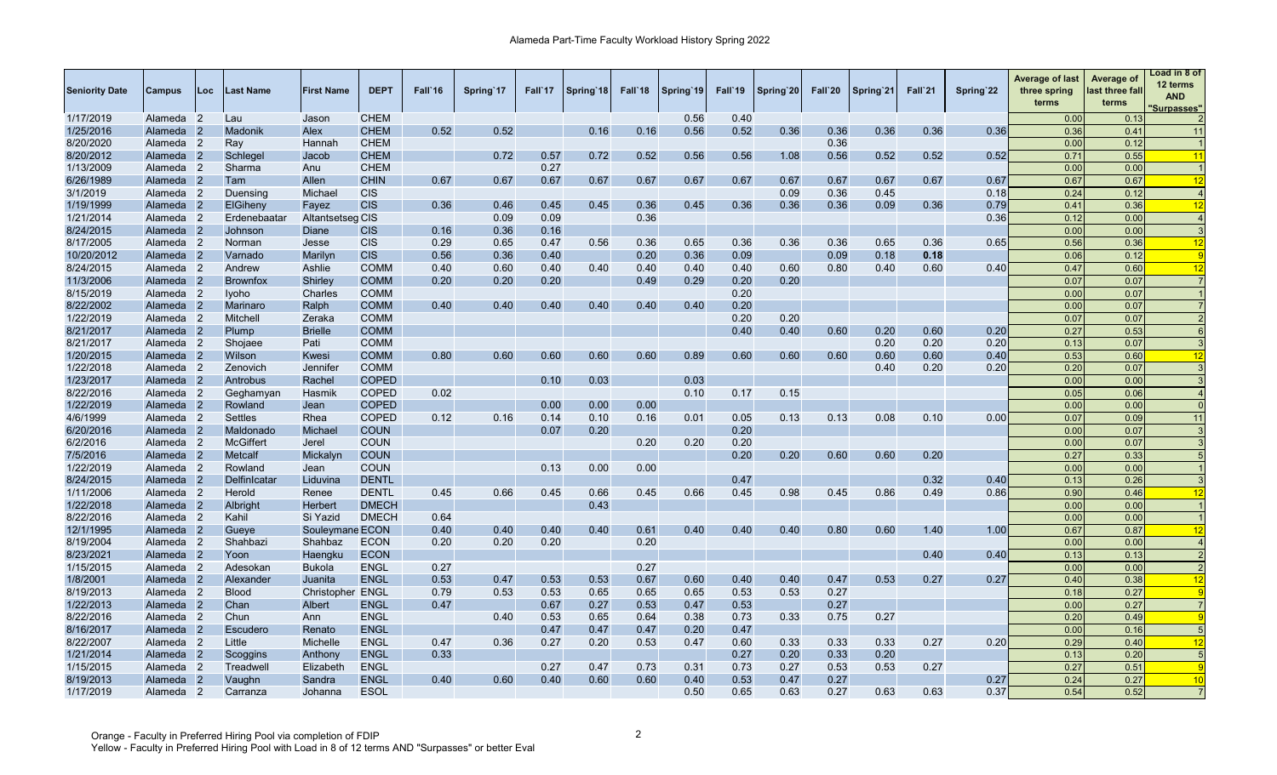| <b>Seniority Date</b> | Campus               | Loc | Last Name        | <b>First Name</b> | <b>DEPT</b>  | Fall`16 | Spring'17 | Fall'17 | Spring 18 | Fall'18 | Spring 19 | Fall'19 | Spring 20 | Fall`20 | Spring 21 | Fall`21 | Spring 22 | <b>Average of last</b><br>three spring<br>terms | Average of<br>last three fall<br>terms | Load in 8 of<br>12 terms<br><b>AND</b><br>'Surpasses" |
|-----------------------|----------------------|-----|------------------|-------------------|--------------|---------|-----------|---------|-----------|---------|-----------|---------|-----------|---------|-----------|---------|-----------|-------------------------------------------------|----------------------------------------|-------------------------------------------------------|
| 1/17/2019             | Alameda 2            |     | Lau              | Jason             | <b>CHEM</b>  |         |           |         |           |         | 0.56      | 0.40    |           |         |           |         |           | 0.00                                            | 0.13                                   |                                                       |
| 1/25/2016             | Alameda 2            |     | Madonik          | Alex              | <b>CHEM</b>  | 0.52    | 0.52      |         | 0.16      | 0.16    | 0.56      | 0.52    | 0.36      | 0.36    | 0.36      | 0.36    | 0.36      | 0.36                                            | 0.41                                   | 11                                                    |
| 8/20/2020             | Alameda 2            |     | Ray              | Hannah            | <b>CHEM</b>  |         |           |         |           |         |           |         |           | 0.36    |           |         |           | 0.00                                            | 0.12                                   |                                                       |
| 8/20/2012             | Alameda 2            |     | Schlegel         | Jacob             | <b>CHEM</b>  |         | 0.72      | 0.57    | 0.72      | 0.52    | 0.56      | 0.56    | 1.08      | 0.56    | 0.52      | 0.52    | 0.52      | 0.71                                            | 0.55                                   | 11                                                    |
| 1/13/2009             | Alameda 2            |     | Sharma           | Anu               | <b>CHEM</b>  |         |           | 0.27    |           |         |           |         |           |         |           |         |           | 0.00                                            | 0.00                                   |                                                       |
| 6/26/1989             | Alameda <sub>2</sub> |     | Tam              | Allen             | <b>CHIN</b>  | 0.67    | 0.67      | 0.67    | 0.67      | 0.67    | 0.67      | 0.67    | 0.67      | 0.67    | 0.67      | 0.67    | 0.67      | 0.67                                            | 0.67                                   | 12                                                    |
| 3/1/2019              | Alameda 2            |     | Duensing         | Michael           | <b>CIS</b>   |         |           |         |           |         |           |         | 0.09      | 0.36    | 0.45      |         | 0.18      | 0.24                                            | 0.12                                   |                                                       |
| 1/19/1999             | Alameda 2            |     | ElGiheny         | Fayez             | <b>CIS</b>   | 0.36    | 0.46      | 0.45    | 0.45      | 0.36    | 0.45      | 0.36    | 0.36      | 0.36    | 0.09      | 0.36    | 0.79      | 0.41                                            | 0.36                                   | 12                                                    |
| 1/21/2014             | Alameda 2            |     | Erdenebaatar     | Altantsetseg CIS  |              |         | 0.09      | 0.09    |           | 0.36    |           |         |           |         |           |         | 0.36      | 0.12                                            | 0.00                                   |                                                       |
| 8/24/2015             | Alameda 2            |     | Johnson          | Diane             | <b>CIS</b>   | 0.16    | 0.36      | 0.16    |           |         |           |         |           |         |           |         |           | 0.00                                            | 0.00                                   |                                                       |
| 8/17/2005             | Alameda 2            |     | Norman           | Jesse             | <b>CIS</b>   | 0.29    | 0.65      | 0.47    | 0.56      | 0.36    | 0.65      | 0.36    | 0.36      | 0.36    | 0.65      | 0.36    | 0.65      | 0.56                                            | 0.36                                   | 12                                                    |
| 10/20/2012            | Alameda 2            |     | Varnado          | Marilyn           | <b>CIS</b>   | 0.56    | 0.36      | 0.40    |           | 0.20    | 0.36      | 0.09    |           | 0.09    | 0.18      | 0.18    |           | 0.06                                            | 0.12                                   |                                                       |
| 8/24/2015             | Alameda 2            |     | Andrew           | Ashlie            | <b>COMM</b>  | 0.40    | 0.60      | 0.40    | 0.40      | 0.40    | 0.40      | 0.40    | 0.60      | 0.80    | 0.40      | 0.60    | 0.40      | 0.47                                            | 0.60                                   | 12                                                    |
| 11/3/2006             | Alameda 2            |     | <b>Brownfox</b>  | <b>Shirley</b>    | <b>COMM</b>  | 0.20    | 0.20      | 0.20    |           | 0.49    | 0.29      | 0.20    | 0.20      |         |           |         |           | 0.07                                            | 0.07                                   |                                                       |
| 8/15/2019             | Alameda 2            |     | <b>Iyoho</b>     | Charles           | <b>COMM</b>  |         |           |         |           |         |           | 0.20    |           |         |           |         |           | 0.00                                            | 0.07                                   |                                                       |
| 8/22/2002             | Alameda 2            |     | Marinaro         | Ralph             | <b>COMM</b>  | 0.40    | 0.40      | 0.40    | 0.40      | 0.40    | 0.40      | 0.20    |           |         |           |         |           | 0.00                                            | 0.07                                   |                                                       |
| 1/22/2019             | Alameda 2            |     | Mitchell         | Zeraka            | <b>COMM</b>  |         |           |         |           |         |           | 0.20    | 0.20      |         |           |         |           | 0.07                                            | 0.07                                   |                                                       |
| 8/21/2017             | Alameda <sub>2</sub> |     | Plump            | <b>Brielle</b>    | <b>COMM</b>  |         |           |         |           |         |           | 0.40    | 0.40      | 0.60    | 0.20      | 0.60    | 0.20      | 0.27                                            | 0.53                                   |                                                       |
| 8/21/2017             | Alameda 2            |     | Shojaee          | Pati              | <b>COMM</b>  |         |           |         |           |         |           |         |           |         | 0.20      | 0.20    | 0.20      | 0.13                                            | 0.07                                   |                                                       |
| 1/20/2015             | Alameda 2            |     | Wilson           | Kwesi             | <b>COMM</b>  | 0.80    | 0.60      | 0.60    | 0.60      | 0.60    | 0.89      | 0.60    | 0.60      | 0.60    | 0.60      | 0.60    | 0.40      | 0.53                                            | 0.60                                   | 12                                                    |
| 1/22/2018             | Alameda 2            |     | Zenovich         | Jennifer          | <b>COMM</b>  |         |           |         |           |         |           |         |           |         | 0.40      | 0.20    | 0.20      | 0.20                                            | 0.07                                   |                                                       |
| 1/23/2017             | Alameda 2            |     | Antrobus         | Rachel            | <b>COPED</b> |         |           | 0.10    | 0.03      |         | 0.03      |         |           |         |           |         |           | 0.00                                            | 0.00                                   |                                                       |
| 8/22/2016             | Alameda 2            |     | Geghamyan        | Hasmik            | <b>COPED</b> | 0.02    |           |         |           |         | 0.10      | 0.17    | 0.15      |         |           |         |           | 0.05                                            | 0.06                                   |                                                       |
| 1/22/2019             | Alameda <sub>2</sub> |     | Rowland          | Jean              | <b>COPED</b> |         |           | 0.00    | 0.00      | 0.00    |           |         |           |         |           |         |           | 0.00                                            | 0.00                                   |                                                       |
| 4/6/1999              | Alameda 2            |     | <b>Settles</b>   | Rhea              | <b>COPED</b> | 0.12    | 0.16      | 0.14    | 0.10      | 0.16    | 0.01      | 0.05    | 0.13      | 0.13    | 0.08      | 0.10    | 0.00      | 0.07                                            | 0.09                                   | 11                                                    |
| 6/20/2016             | Alameda 2            |     | Maldonado        | Michael           | <b>COUN</b>  |         |           | 0.07    | 0.20      |         |           | 0.20    |           |         |           |         |           | 0.00                                            | 0.07                                   |                                                       |
| 6/2/2016              | Alameda 2            |     | <b>McGiffert</b> | Jerel             | <b>COUN</b>  |         |           |         |           | 0.20    | 0.20      | 0.20    |           |         |           |         |           | 0.00                                            | 0.07                                   |                                                       |
| 7/5/2016              | Alameda 2            |     | <b>Metcalf</b>   | Mickalyn          | <b>COUN</b>  |         |           |         |           |         |           | 0.20    | 0.20      | 0.60    | 0.60      | 0.20    |           | 0.27                                            | 0.33                                   |                                                       |
| 1/22/2019             | Alameda <sub>2</sub> |     | Rowland          | Jean              | <b>COUN</b>  |         |           | 0.13    | 0.00      | 0.00    |           |         |           |         |           |         |           | 0.00                                            | 0.00                                   |                                                       |
| 8/24/2015             | Alameda 2            |     | Delfinlcatar     | Liduvina          | <b>DENTL</b> |         |           |         |           |         |           | 0.47    |           |         |           | 0.32    | 0.40      | 0.13                                            | 0.26                                   |                                                       |
| 1/11/2006             | Alameda 2            |     | Herold           | Renee             | <b>DENTL</b> | 0.45    | 0.66      | 0.45    | 0.66      | 0.45    | 0.66      | 0.45    | 0.98      | 0.45    | 0.86      | 0.49    | 0.86      | 0.90                                            | 0.46                                   | 12                                                    |
| 1/22/2018             | Alameda 2            |     | Albright         | <b>Herbert</b>    | <b>DMECH</b> |         |           |         | 0.43      |         |           |         |           |         |           |         |           | 0.00                                            | 0.00                                   |                                                       |
| 8/22/2016             | Alameda 2            |     | Kahil            | Si Yazid          | <b>DMECH</b> | 0.64    |           |         |           |         |           |         |           |         |           |         |           | 0.00                                            | 0.00                                   |                                                       |
| 12/1/1995             | Alameda 2            |     | Gueye            | Souleymane ECON   |              | 0.40    | 0.40      | 0.40    | 0.40      | 0.61    | 0.40      | 0.40    | 0.40      | 0.80    | 0.60      | 1.40    | 1.00      | 0.67                                            | 0.87                                   | 12                                                    |
| 8/19/2004             | Alameda 2            |     | Shahbazi         | Shahbaz           | <b>ECON</b>  | 0.20    | 0.20      | 0.20    |           | 0.20    |           |         |           |         |           |         |           | 0.00                                            | 0.00                                   |                                                       |
| 8/23/2021             | Alameda 2            |     | Yoon             | Haengku           | <b>ECON</b>  |         |           |         |           |         |           |         |           |         |           | 0.40    | 0.40      | 0.13                                            | 0.13                                   |                                                       |
| 1/15/2015             | Alameda 2            |     | Adesokan         | <b>Bukola</b>     | <b>ENGL</b>  | 0.27    |           |         |           | 0.27    |           |         |           |         |           |         |           | 0.00                                            | 0.00                                   |                                                       |
| 1/8/2001              | Alameda 2            |     | Alexander        | Juanita           | <b>ENGL</b>  | 0.53    | 0.47      | 0.53    | 0.53      | 0.67    | 0.60      | 0.40    | 0.40      | 0.47    | 0.53      | 0.27    | 0.27      | 0.40                                            | 0.38                                   | 12                                                    |
| 8/19/2013             | Alameda 2            |     | <b>Blood</b>     | Christopher ENGL  |              | 0.79    | 0.53      | 0.53    | 0.65      | 0.65    | 0.65      | 0.53    | 0.53      | 0.27    |           |         |           | 0.18                                            | 0.27                                   |                                                       |
| 1/22/2013             | Alameda 2            |     | Chan             | Albert            | <b>ENGL</b>  | 0.47    |           | 0.67    | 0.27      | 0.53    | 0.47      | 0.53    |           | 0.27    |           |         |           | 0.00                                            | 0.27                                   |                                                       |
| 8/22/2016             | Alameda 2            |     | Chun             | Ann               | <b>ENGL</b>  |         | 0.40      | 0.53    | 0.65      | 0.64    | 0.38      | 0.73    | 0.33      | 0.75    | 0.27      |         |           | 0.20                                            | 0.49                                   |                                                       |
| 8/16/2017             | Alameda 2            |     | Escudero         | Renato            | <b>ENGL</b>  |         |           | 0.47    | 0.47      | 0.47    | 0.20      | 0.47    |           |         |           |         |           | 0.00                                            | 0.16                                   |                                                       |
| 8/22/2007             | Alameda <sub>2</sub> |     | Little           | Michelle          | <b>ENGL</b>  | 0.47    | 0.36      | 0.27    | 0.20      | 0.53    | 0.47      | 0.60    | 0.33      | 0.33    | 0.33      | 0.27    | 0.20      | 0.29                                            | 0.40                                   | 12                                                    |
| 1/21/2014             | Alameda 2            |     | Scoggins         | Anthony           | <b>ENGL</b>  | 0.33    |           |         |           |         |           | 0.27    | 0.20      | 0.33    | 0.20      |         |           | 0.13                                            | 0.20                                   |                                                       |
| 1/15/2015             | Alameda 2            |     | Treadwell        | Elizabeth         | <b>ENGL</b>  |         |           | 0.27    | 0.47      | 0.73    | 0.31      | 0.73    | 0.27      | 0.53    | 0.53      | 0.27    |           | 0.27                                            | 0.51                                   |                                                       |
| 8/19/2013             | Alameda              | -2  | Vaughn           | Sandra            | <b>ENGL</b>  | 0.40    | 0.60      | 0.40    | 0.60      | 0.60    | 0.40      | 0.53    | 0.47      | 0.27    |           |         | 0.27      | 0.24                                            | 0.27                                   | 10                                                    |
| 1/17/2019             | Alameda 2            |     | Carranza         | Johanna           | <b>ESOL</b>  |         |           |         |           |         | 0.50      | 0.65    | 0.63      | 0.27    | 0.63      | 0.63    | 0.37      | 0.54                                            | 0.52                                   |                                                       |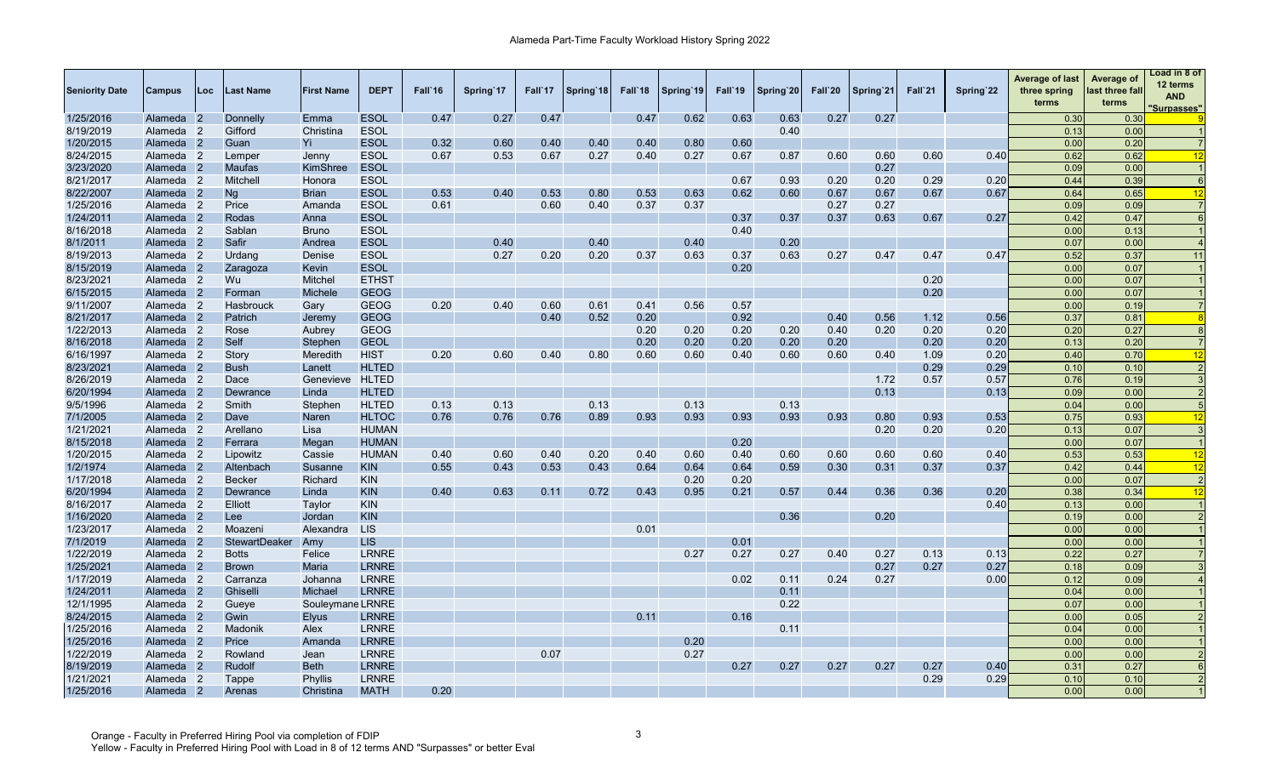| <b>Seniority Date</b> | Campus               | Loc.           | Last Name            | <b>First Name</b> | <b>DEPT</b>  | Fall 16 | Spring 17 | Fall'17 | Spring 18 | Fall 18 | Spring 19 | Fall'19 | Spring 20 | Fall`20 | Spring 21 | Fall`21 | Spring 22 | <b>Average of last</b><br>three spring<br>terms | Average of<br>last three fall<br>terms | Load in 8 of<br>12 terms<br>AND<br>'Surpasses" |
|-----------------------|----------------------|----------------|----------------------|-------------------|--------------|---------|-----------|---------|-----------|---------|-----------|---------|-----------|---------|-----------|---------|-----------|-------------------------------------------------|----------------------------------------|------------------------------------------------|
| 1/25/2016             | Alameda              | -2             | Donnelly             | Emma              | <b>ESOL</b>  | 0.47    | 0.27      | 0.47    |           | 0.47    | 0.62      | 0.63    | 0.63      | 0.27    | 0.27      |         |           | 0.30                                            | 0.30                                   |                                                |
| 8/19/2019             | Alameda              | $\overline{2}$ | Gifford              | Christina         | <b>ESOL</b>  |         |           |         |           |         |           |         | 0.40      |         |           |         |           | 0.13                                            | 0.00                                   |                                                |
| 1/20/2015             | Alameda 2            |                | Guan                 | Yi                | <b>ESOL</b>  | 0.32    | 0.60      | 0.40    | 0.40      | 0.40    | 0.80      | 0.60    |           |         |           |         |           | 0.00                                            | 0.20                                   |                                                |
| 8/24/2015             | Alameda 2            |                | Lemper               | Jenny             | <b>ESOL</b>  | 0.67    | 0.53      | 0.67    | 0.27      | 0.40    | 0.27      | 0.67    | 0.87      | 0.60    | 0.60      | 0.60    | 0.40      | 0.62                                            | 0.62                                   | 12                                             |
| 3/23/2020             | Alameda 2            |                | <b>Maufas</b>        | <b>KimShree</b>   | <b>ESOL</b>  |         |           |         |           |         |           |         |           |         | 0.27      |         |           | 0.09                                            | 0.00                                   |                                                |
| 8/21/2017             | Alameda 2            |                | Mitchell             | Honora            | <b>ESOL</b>  |         |           |         |           |         |           | 0.67    | 0.93      | 0.20    | 0.20      | 0.29    | 0.20      | 0.44                                            | 0.39                                   | 6                                              |
| 8/22/2007             | Alameda 2            |                | Ng                   | <b>Brian</b>      | <b>ESOL</b>  | 0.53    | 0.40      | 0.53    | 0.80      | 0.53    | 0.63      | 0.62    | 0.60      | 0.67    | 0.67      | 0.67    | 0.67      | 0.64                                            | 0.65                                   | 12                                             |
| 1/25/2016             | Alameda 2            |                | Price                | Amanda            | <b>ESOL</b>  | 0.61    |           | 0.60    | 0.40      | 0.37    | 0.37      |         |           | 0.27    | 0.27      |         |           | 0.09                                            | 0.09                                   |                                                |
| 1/24/2011             | Alameda 2            |                | Rodas                | Anna              | <b>ESOL</b>  |         |           |         |           |         |           | 0.37    | 0.37      | 0.37    | 0.63      | 0.67    | 0.27      | 0.42                                            | 0.47                                   |                                                |
| 8/16/2018             | Alameda 2            |                | Sablan               | <b>Bruno</b>      | <b>ESOL</b>  |         |           |         |           |         |           | 0.40    |           |         |           |         |           | 0.00                                            | 0.13                                   |                                                |
| 8/1/2011              | Alameda <sub>2</sub> |                | Safir                | Andrea            | <b>ESOL</b>  |         | 0.40      |         | 0.40      |         | 0.40      |         | 0.20      |         |           |         |           | 0.07                                            | 0.00                                   |                                                |
| 8/19/2013             | Alameda 2            |                | Urdang               | Denise            | <b>ESOL</b>  |         | 0.27      | 0.20    | 0.20      | 0.37    | 0.63      | 0.37    | 0.63      | 0.27    | 0.47      | 0.47    | 0.47      | 0.52                                            | 0.37                                   | 11                                             |
| 8/15/2019             | Alameda 2            |                | Zaragoza             | Kevin             | <b>ESOL</b>  |         |           |         |           |         |           | 0.20    |           |         |           |         |           | 0.00                                            | 0.07                                   |                                                |
| 8/23/2021             | Alameda <sub>2</sub> |                | Wu.                  | <b>Mitchel</b>    | <b>ETHST</b> |         |           |         |           |         |           |         |           |         |           | 0.20    |           | 0.00                                            | 0.07                                   |                                                |
| 6/15/2015             | Alameda 2            |                | Forman               | <b>Michele</b>    | <b>GEOG</b>  |         |           |         |           |         |           |         |           |         |           | 0.20    |           | 0.00                                            | 0.07                                   |                                                |
| 9/11/2007             | Alameda 2            |                | Hasbrouck            | Gary              | <b>GEOG</b>  | 0.20    | 0.40      | 0.60    | 0.61      | 0.41    | 0.56      | 0.57    |           |         |           |         |           | 0.00                                            | 0.19                                   |                                                |
| 8/21/2017             | Alameda 2            |                | Patrich              | Jeremy            | <b>GEOG</b>  |         |           | 0.40    | 0.52      | 0.20    |           | 0.92    |           | 0.40    | 0.56      | 1.12    | 0.56      | 0.37                                            | 0.81                                   |                                                |
| 1/22/2013             | Alameda 2            |                | Rose                 | Aubrey            | <b>GEOG</b>  |         |           |         |           | 0.20    | 0.20      | 0.20    | 0.20      | 0.40    | 0.20      | 0.20    | 0.20      | 0.20                                            | 0.27                                   | -8                                             |
| 8/16/2018             | Alameda 2            |                | Self                 | Stephen           | <b>GEOL</b>  |         |           |         |           | 0.20    | 0.20      | 0.20    | 0.20      | 0.20    |           | 0.20    | 0.20      | 0.13                                            | 0.20                                   |                                                |
| 6/16/1997             | Alameda 2            |                | Story                | Meredith          | <b>HIST</b>  | 0.20    | 0.60      | 0.40    | 0.80      | 0.60    | 0.60      | 0.40    | 0.60      | 0.60    | 0.40      | 1.09    | 0.20      | 0.40                                            | 0.70                                   | 12                                             |
| 8/23/2021             | Alameda 2            |                | <b>Bush</b>          | Lanett            | <b>HLTED</b> |         |           |         |           |         |           |         |           |         |           | 0.29    | 0.29      | 0.10                                            | 0.10                                   |                                                |
| 8/26/2019             | Alameda 2            |                | Dace                 | Genevieve HLTED   |              |         |           |         |           |         |           |         |           |         | 1.72      | 0.57    | 0.57      | 0.76                                            | 0.19                                   |                                                |
| 6/20/1994             | Alameda 2            |                | Dewrance             | Linda             | <b>HLTED</b> |         |           |         |           |         |           |         |           |         | 0.13      |         | 0.13      | 0.09                                            | 0.00                                   | $\overline{2}$                                 |
| 9/5/1996              | Alameda 2            |                | Smith                | Stephen           | <b>HLTED</b> | 0.13    | 0.13      |         | 0.13      |         | 0.13      |         | 0.13      |         |           |         |           | 0.04                                            | 0.00                                   |                                                |
| 7/1/2005              | Alameda 2            |                | Dave                 | Naren             | <b>HLTOC</b> | 0.76    | 0.76      | 0.76    | 0.89      | 0.93    | 0.93      | 0.93    | 0.93      | 0.93    | 0.80      | 0.93    | 0.53      | 0.75                                            | 0.93                                   | 12                                             |
| 1/21/2021             | Alameda 2            |                | Arellano             | Lisa              | <b>HUMAN</b> |         |           |         |           |         |           |         |           |         | 0.20      | 0.20    | 0.20      | 0.13                                            | 0.07                                   | -3                                             |
| 8/15/2018             | Alameda 2            |                | Ferrara              | Megan             | <b>HUMAN</b> |         |           |         |           |         |           | 0.20    |           |         |           |         |           | 0.00                                            | 0.07                                   | $\overline{1}$                                 |
| 1/20/2015             | Alameda 2            |                | Lipowitz             | Cassie            | <b>HUMAN</b> | 0.40    | 0.60      | 0.40    | 0.20      | 0.40    | 0.60      | 0.40    | 0.60      | 0.60    | 0.60      | 0.60    | 0.40      | 0.53                                            | 0.53                                   | 12                                             |
| 1/2/1974              | Alameda 2            |                | Altenbach            | Susanne           | <b>KIN</b>   | 0.55    | 0.43      | 0.53    | 0.43      | 0.64    | 0.64      | 0.64    | 0.59      | 0.30    | 0.31      | 0.37    | 0.37      | 0.42                                            | 0.44                                   | 12                                             |
| 1/17/2018             | Alameda <sub>2</sub> |                | <b>Becker</b>        | Richard           | <b>KIN</b>   |         |           |         |           |         | 0.20      | 0.20    |           |         |           |         |           | 0.00                                            | 0.07                                   | $\overline{2}$                                 |
| 6/20/1994             | Alameda 2            |                | Dewrance             | Linda             | <b>KIN</b>   | 0.40    | 0.63      | 0.11    | 0.72      | 0.43    | 0.95      | 0.21    | 0.57      | 0.44    | 0.36      | 0.36    | 0.20      | 0.38                                            | 0.34                                   | 12                                             |
| 8/16/2017             | Alameda 2            |                | Elliott              | Taylor            | <b>KIN</b>   |         |           |         |           |         |           |         |           |         |           |         | 0.40      | 0.13                                            | 0.00                                   |                                                |
| 1/16/2020             | Alameda 2            |                | Lee                  | Jordan            | <b>KIN</b>   |         |           |         |           |         |           |         | 0.36      |         | 0.20      |         |           | 0.19                                            | 0.00                                   |                                                |
| 1/23/2017             | Alameda 2            |                | Moazeni              | Alexandra         | <b>LIS</b>   |         |           |         |           | 0.01    |           |         |           |         |           |         |           | 0.00                                            | 0.00                                   |                                                |
| 7/1/2019              | Alameda 2            |                | <b>StewartDeaker</b> | Amy               | <b>LIS</b>   |         |           |         |           |         |           | 0.01    |           |         |           |         |           | 0.00                                            | 0.00                                   |                                                |
| 1/22/2019             | Alameda <sub>2</sub> |                | <b>Botts</b>         | Felice            | <b>LRNRE</b> |         |           |         |           |         | 0.27      | 0.27    | 0.27      | 0.40    | 0.27      | 0.13    | 0.13      | 0.22                                            | 0.27                                   |                                                |
| 1/25/2021             | Alameda 2            |                | <b>Brown</b>         | Maria             | <b>LRNRE</b> |         |           |         |           |         |           |         |           |         | 0.27      | 0.27    | 0.27      | 0.18                                            | 0.09                                   |                                                |
| 1/17/2019             | Alameda <sub>2</sub> |                | Carranza             | Johanna           | <b>LRNRE</b> |         |           |         |           |         |           | 0.02    | 0.11      | 0.24    | 0.27      |         | 0.00      | 0.12                                            | 0.09                                   |                                                |
| 1/24/2011             | Alameda 2            |                | Ghiselli             | Michael           | <b>LRNRE</b> |         |           |         |           |         |           |         | 0.11      |         |           |         |           | 0.04                                            | 0.00                                   |                                                |
| 12/1/1995             | Alameda 2            |                | Gueve                | Souleymane LRNRE  |              |         |           |         |           |         |           |         | 0.22      |         |           |         |           | 0.07                                            | 0.00                                   |                                                |
| 8/24/2015             | Alameda 2            |                | Gwin                 | <b>Elyus</b>      | <b>LRNRE</b> |         |           |         |           | 0.11    |           | 0.16    |           |         |           |         |           | 0.00                                            | 0.05                                   |                                                |
| 1/25/2016             | Alameda 2            |                | Madonik              | Alex              | <b>LRNRE</b> |         |           |         |           |         |           |         | 0.11      |         |           |         |           | 0.04                                            | 0.00                                   |                                                |
| 1/25/2016             | Alameda 2            |                | Price                | Amanda            | <b>LRNRE</b> |         |           |         |           |         | 0.20      |         |           |         |           |         |           | 0.00                                            | 0.00                                   |                                                |
| 1/22/2019             | Alameda 2            |                | Rowland              | Jean              | <b>LRNRE</b> |         |           | 0.07    |           |         | 0.27      |         |           |         |           |         |           | 0.00                                            | 0.00                                   |                                                |
| 8/19/2019             | Alameda 2            |                | Rudolf               | <b>Beth</b>       | <b>LRNRE</b> |         |           |         |           |         |           | 0.27    | 0.27      | 0.27    | 0.27      | 0.27    | 0.40      | 0.31                                            | 0.27                                   | 6                                              |
| 1/21/2021             | Alameda 2            |                | Tappe                | Phyllis           | <b>LRNRE</b> |         |           |         |           |         |           |         |           |         |           | 0.29    | 0.29      | 0.10                                            | 0.10                                   |                                                |
| 1/25/2016             | Alameda 2            |                | Arenas               | Christina         | <b>MATH</b>  | 0.20    |           |         |           |         |           |         |           |         |           |         |           | 0.00                                            | 0.00                                   |                                                |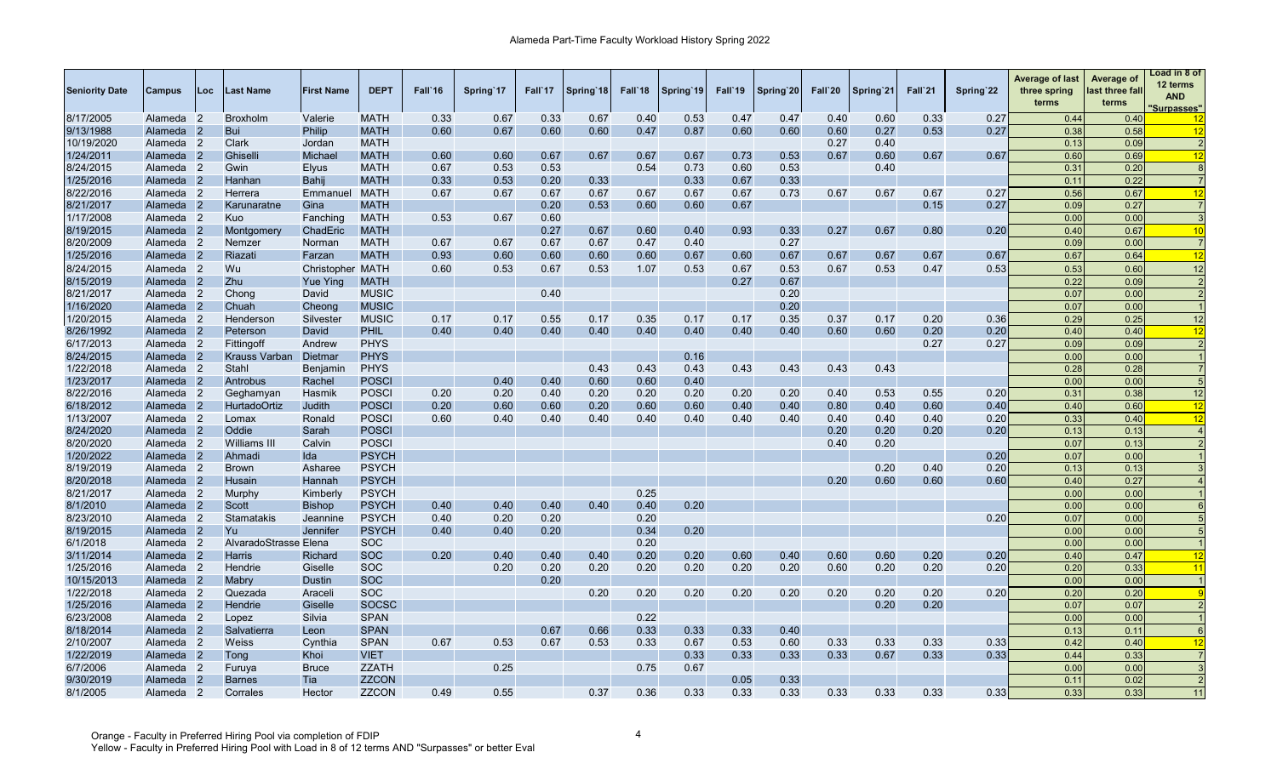| <b>Seniority Date</b>  | Campus               | Loc            | ast Name              | <b>First Name</b> | <b>DEPT</b>                  | Fall'16 | Spring 17 | Fall`17 | Spring 18 | Fall'18 | Spring 19 | Fall'19 | Spring 20 | Fall`20      | Spring 21    | Fall <sup>21</sup> | Spring 22 | <b>Average of last</b><br>three spring<br>terms | Average of<br>last three fall<br>terms | Load in 8 of<br>12 terms<br><b>AND</b><br><u>Surpasses"</u> |
|------------------------|----------------------|----------------|-----------------------|-------------------|------------------------------|---------|-----------|---------|-----------|---------|-----------|---------|-----------|--------------|--------------|--------------------|-----------|-------------------------------------------------|----------------------------------------|-------------------------------------------------------------|
| 8/17/2005              | Alameda              | $\overline{2}$ | <b>Broxholm</b>       | Valerie           | <b>MATH</b>                  | 0.33    | 0.67      | 0.33    | 0.67      | 0.40    | 0.53      | 0.47    | 0.47      | 0.40         | 0.60         | 0.33               | 0.27      | 0.44                                            | 0.40                                   | -12                                                         |
| 9/13/1988              | Alameda              |                | Bui                   | Philip            | <b>MATH</b>                  | 0.60    | 0.67      | 0.60    | 0.60      | 0.47    | 0.87      | 0.60    | 0.60      | 0.60         | 0.27         | 0.53               | 0.27      | 0.38                                            | 0.58                                   | 12                                                          |
| 10/19/2020             | Alameda 2            |                | Clark                 | Jordan            | <b>MATH</b>                  |         |           |         |           |         |           |         |           | 0.27         | 0.40         |                    |           | 0.13                                            | 0.09                                   | 2                                                           |
| 1/24/2011              | Alameda              |                | Ghisell               | Michael           | <b>MATH</b>                  | 0.60    | 0.60      | 0.67    | 0.67      | 0.67    | 0.67      | 0.73    | 0.53      | 0.67         | 0.60         | 0.67               | 0.67      | 0.60                                            | 0.69                                   | 12                                                          |
| 8/24/2015              | Alameda 2            |                | Gwin                  | <b>Elyus</b>      | <b>MATH</b>                  | 0.67    | 0.53      | 0.53    |           | 0.54    | 0.73      | 0.60    | 0.53      |              | 0.40         |                    |           | 0.31                                            | 0.20                                   | $\epsilon$                                                  |
| 1/25/2016              | Alameda              | $\overline{2}$ | Hanhan                | Bahij             | <b>MATH</b>                  | 0.33    | 0.53      | 0.20    | 0.33      |         | 0.33      | 0.67    | 0.33      |              |              |                    |           | 0.11                                            | 0.22                                   |                                                             |
| 8/22/2016              | Alameda 2            |                | Herrera               | Emmanuel MATH     |                              | 0.67    | 0.67      | 0.67    | 0.67      | 0.67    | 0.67      | 0.67    | 0.73      | 0.67         | 0.67         | 0.67               | 0.27      | 0.56                                            | 0.67                                   | 12                                                          |
| 8/21/2017              | Alameda 2            |                | Karunaratne           | Gina              | <b>MATH</b>                  |         |           | 0.20    | 0.53      | 0.60    | 0.60      | 0.67    |           |              |              | 0.15               | 0.27      | 0.09                                            | 0.27                                   |                                                             |
| 1/17/2008              | Alameda 2            |                | Kuo                   | Fanching          | <b>MATH</b>                  | 0.53    | 0.67      | 0.60    |           |         |           |         |           |              |              |                    |           | 0.00                                            | 0.00                                   |                                                             |
| 8/19/2015              | Alameda              |                | Montgomery            | ChadEric          | <b>MATH</b>                  |         |           | 0.27    | 0.67      | 0.60    | 0.40      | 0.93    | 0.33      | 0.27         | 0.67         | 0.80               | 0.20      | 0.40                                            | 0.67                                   | 10                                                          |
| 8/20/2009              | Alameda              | $\overline{2}$ | Nemzer                | Norman            | <b>MATH</b>                  | 0.67    | 0.67      | 0.67    | 0.67      | 0.47    | 0.40      |         | 0.27      |              |              |                    |           | 0.09                                            | 0.00                                   |                                                             |
| 1/25/2016              | Alameda 2            |                | Riazati               | Farzan            | <b>MATH</b>                  | 0.93    | 0.60      | 0.60    | 0.60      | 0.60    | 0.67      | 0.60    | 0.67      | 0.67         | 0.67         | 0.67               | 0.67      | 0.67                                            | 0.64                                   | 12                                                          |
| 8/24/2015              | Alameda 2            |                | Wu                    | Christopher MATH  |                              | 0.60    | 0.53      | 0.67    | 0.53      | 1.07    | 0.53      | 0.67    | 0.53      | 0.67         | 0.53         | 0.47               | 0.53      | 0.53                                            | 0.60                                   | 12                                                          |
| 8/15/2019              | Alameda 2            |                | Zhu                   | <b>Yue Ying</b>   | <b>MATH</b>                  |         |           |         |           |         |           | 0.27    | 0.67      |              |              |                    |           | 0.22                                            | 0.09                                   | 2                                                           |
| 8/21/2017              | Alameda <sub>2</sub> |                | Chong                 | David             | <b>MUSIC</b>                 |         |           | 0.40    |           |         |           |         | 0.20      |              |              |                    |           | 0.07                                            | 0.00                                   |                                                             |
| 1/16/2020              | Alameda 2            |                | Chuah                 | Cheong            | <b>MUSIC</b>                 |         |           |         |           |         |           |         | 0.20      |              |              |                    |           | 0.07                                            | 0.00                                   |                                                             |
| 1/20/2015              | Alameda              | $\overline{2}$ | Henderson             | Silvester         | <b>MUSIC</b>                 | 0.17    | 0.17      | 0.55    | 0.17      | 0.35    | 0.17      | 0.17    | 0.35      | 0.37         | 0.17         | 0.20               | 0.36      | 0.29                                            | 0.25                                   | 12                                                          |
| 8/26/1992              | Alameda              |                | Peterson              | David             | PHIL                         | 0.40    | 0.40      | 0.40    | 0.40      | 0.40    | 0.40      | 0.40    | 0.40      | 0.60         | 0.60         | 0.20               | 0.20      | 0.40                                            | 0.40                                   | 12                                                          |
| 6/17/2013              | Alameda              |                | Fittingoff            | Andrew            | <b>PHYS</b>                  |         |           |         |           |         |           |         |           |              |              | 0.27               | 0.27      | 0.09                                            | 0.09                                   |                                                             |
| 8/24/2015              | Alameda              |                | Krauss Varban         | Dietmar           | <b>PHYS</b>                  |         |           |         |           |         | 0.16      |         |           |              |              |                    |           | 0.00                                            | 0.00                                   |                                                             |
| 1/22/2018              | Alameda              | $\overline{2}$ | Stahl                 | Benjamin          | <b>PHYS</b>                  |         |           |         | 0.43      | 0.43    | 0.43      | 0.43    | 0.43      | 0.43         | 0.43         |                    |           | 0.28                                            | 0.28                                   |                                                             |
| 1/23/2017              | Alameda 2            |                | Antrobus              | Rachel            | <b>POSCI</b>                 |         | 0.40      | 0.40    | 0.60      | 0.60    | 0.40      |         |           |              |              |                    |           | 0.00                                            | 0.00                                   |                                                             |
| 8/22/2016              | Alameda              | -2             | Geghamyan             | Hasmik            | <b>POSCI</b>                 | 0.20    | 0.20      | 0.40    | 0.20      | 0.20    | 0.20      | 0.20    | 0.20      | 0.40         | 0.53         | 0.55               | 0.20      | 0.31                                            | 0.38                                   | 12                                                          |
| 6/18/2012              | Alameda              |                | <b>HurtadoOrtiz</b>   | Judith            | <b>POSCI</b>                 | 0.20    | 0.60      | 0.60    | 0.20      | 0.60    | 0.60      | 0.40    | 0.40      | 0.80         | 0.40         | 0.60               | 0.40      | 0.40                                            | 0.60                                   | 12                                                          |
| 1/13/2007              | Alameda 2            |                | Lomax                 | Ronald            | <b>POSCI</b>                 | 0.60    | 0.40      | 0.40    | 0.40      | 0.40    | 0.40      | 0.40    | 0.40      | 0.40         | 0.40         | 0.40               | 0.20      | 0.33                                            | 0.40                                   | 12                                                          |
| 8/24/2020              | Alameda              |                | Oddie                 | Sarah             | <b>POSCI</b>                 |         |           |         |           |         |           |         |           | 0.20         | 0.20         | 0.20               | 0.20      | 0.13                                            | 0.13                                   |                                                             |
| 8/20/2020              | Alameda              | $\overline{2}$ | Williams III          | Calvin            | <b>POSCI</b>                 |         |           |         |           |         |           |         |           | 0.40         | 0.20         |                    |           | 0.07                                            | 0.13                                   |                                                             |
| 1/20/2022              | Alameda              |                | Ahmadi                | Ida               | <b>PSYCH</b>                 |         |           |         |           |         |           |         |           |              |              |                    | 0.20      | 0.07                                            | 0.00                                   |                                                             |
| 8/19/2019              | Alameda              | $\overline{2}$ | <b>Brown</b>          | Asharee           | <b>PSYCH</b>                 |         |           |         |           |         |           |         |           |              | 0.20         | 0.40               | 0.20      | 0.13                                            | 0.13                                   |                                                             |
| 8/20/2018              | Alameda              |                | Husain                | Hannah            | <b>PSYCH</b>                 |         |           |         |           |         |           |         |           | 0.20         | 0.60         | 0.60               | 0.60      | 0.40                                            | 0.27                                   |                                                             |
| 8/21/2017              | Alameda              |                | <b>Murphy</b>         | Kimberly          | <b>PSYCH</b>                 |         |           |         |           | 0.25    |           |         |           |              |              |                    |           | 0.00                                            | 0.00                                   |                                                             |
| 8/1/2010               | Alameda              | $\overline{2}$ | Scott                 | <b>Bishop</b>     | <b>PSYCH</b>                 | 0.40    | 0.40      | 0.40    | 0.40      | 0.40    | 0.20      |         |           |              |              |                    |           | 0.00                                            | 0.00                                   |                                                             |
| 8/23/2010              | Alameda 2            |                | Stamatakis            | Jeannine          | <b>PSYCH</b>                 | 0.40    | 0.20      | 0.20    |           | 0.20    |           |         |           |              |              |                    | 0.20      | 0.07                                            | 0.00                                   |                                                             |
| 8/19/2015              | Alameda <sub>2</sub> |                | Yu                    | Jennifer          | <b>PSYCH</b>                 | 0.40    | 0.40      | 0.20    |           | 0.34    | 0.20      |         |           |              |              |                    |           | 0.00                                            | 0.00                                   |                                                             |
| 6/1/2018               | Alameda 2            |                | AlvaradoStrasse Elena |                   | <b>SOC</b>                   |         |           |         |           | 0.20    |           |         |           |              |              |                    |           | 0.00                                            | 0.00                                   |                                                             |
| 3/11/2014              | Alameda              |                | <b>Harris</b>         | <b>Richard</b>    | <b>SOC</b>                   | 0.20    | 0.40      | 0.40    | 0.40      | 0.20    | 0.20      | 0.60    | 0.40      | 0.60         | 0.60         | 0.20               | 0.20      | 0.40                                            | 0.47                                   | 12                                                          |
| 1/25/2016              | Alameda 2            |                | Hendrie               | Giselle           | <b>SOC</b>                   |         | 0.20      | 0.20    | 0.20      | 0.20    | 0.20      | 0.20    | 0.20      | 0.60         | 0.20         | 0.20               | 0.20      | 0.20                                            | 0.33                                   | 11                                                          |
| 10/15/2013             | Alameda              | $\overline{2}$ | Mabry                 | <b>Dustin</b>     | <b>SOC</b>                   |         |           | 0.20    |           |         |           |         |           |              |              |                    |           | 0.00                                            | 0.00                                   |                                                             |
| 1/22/2018              | Alameda 2            |                | Quezada               | Araceli           | <b>SOC</b>                   |         |           |         | 0.20      | 0.20    | 0.20      | 0.20    | 0.20      | 0.20         | 0.20         | 0.20               | 0.20      | 0.20                                            | 0.20                                   |                                                             |
|                        |                      | $\overline{2}$ |                       |                   | <b>SOCSC</b>                 |         |           |         |           |         |           |         |           |              | 0.20         |                    |           |                                                 |                                        |                                                             |
| 1/25/2016<br>6/23/2008 | Alameda<br>Alameda 2 |                | Hendrie<br>Lopez      | Giselle<br>Silvia | <b>SPAN</b>                  |         |           |         |           | 0.22    |           |         |           |              |              | 0.20               |           | 0.07<br>0.00                                    | 0.07<br>0.00                           |                                                             |
|                        |                      | $\overline{2}$ | Salvatierra           |                   | <b>SPAN</b>                  |         |           | 0.67    | 0.66      |         | 0.33      | 0.33    | 0.40      |              |              |                    |           | 0.13                                            | 0.11                                   |                                                             |
| 8/18/2014              | Alameda              |                | Weiss                 | Leon              | <b>SPAN</b>                  | 0.67    |           |         | 0.53      | 0.33    | 0.67      | 0.53    | 0.60      |              |              |                    | 0.33      | 0.42                                            | 0.40                                   |                                                             |
| 2/10/2007<br>1/22/2019 | Alameda 2            |                |                       | Cynthia           | <b>VIET</b>                  |         | 0.53      | 0.67    |           | 0.33    | 0.33      | 0.33    | 0.33      | 0.33<br>0.33 | 0.33<br>0.67 | 0.33<br>0.33       | 0.33      |                                                 | 0.33                                   | 12                                                          |
| 6/7/2006               | Alameda              | $\overline{2}$ | Tong                  | Khoi              |                              |         | 0.25      |         |           | 0.75    | 0.67      |         |           |              |              |                    |           | 0.44                                            |                                        |                                                             |
|                        | Alameda              |                | Furuya                | <b>Bruce</b>      | <b>ZZATH</b><br><b>ZZCON</b> |         |           |         |           |         |           | 0.05    | 0.33      |              |              |                    |           | 0.00                                            | 0.00                                   |                                                             |
| 9/30/2019              | Alameda              |                | <b>Barnes</b>         | Tia               |                              |         |           |         |           |         |           |         |           |              |              |                    |           | 0.11                                            | 0.02                                   |                                                             |
| 8/1/2005               | Alameda 2            |                | Corrales              | Hector            | <b>ZZCON</b>                 | 0.49    | 0.55      |         | 0.37      | 0.36    | 0.33      | 0.33    | 0.33      | 0.33         | 0.33         | 0.33               | 0.33      | 0.33                                            | 0.33                                   | 11                                                          |